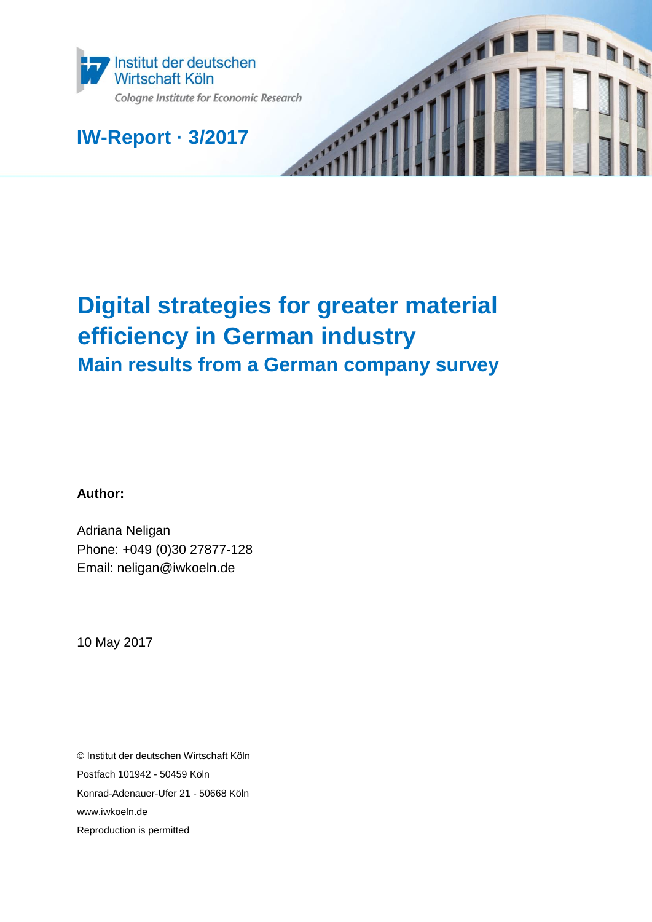

**IW-Report · 3/2017**

# **Digital strategies for greater material efficiency in German industry Main results from a German company survey**

TH

**Author:**

Adriana Neligan Phone: +049 (0)30 27877-128 Email: neligan@iwkoeln.de

10 May 2017

© Institut der deutschen Wirtschaft Köln Postfach 101942 - 50459 Köln Konrad-Adenauer-Ufer 21 - 50668 Köln www.iwkoeln.de Reproduction is permitted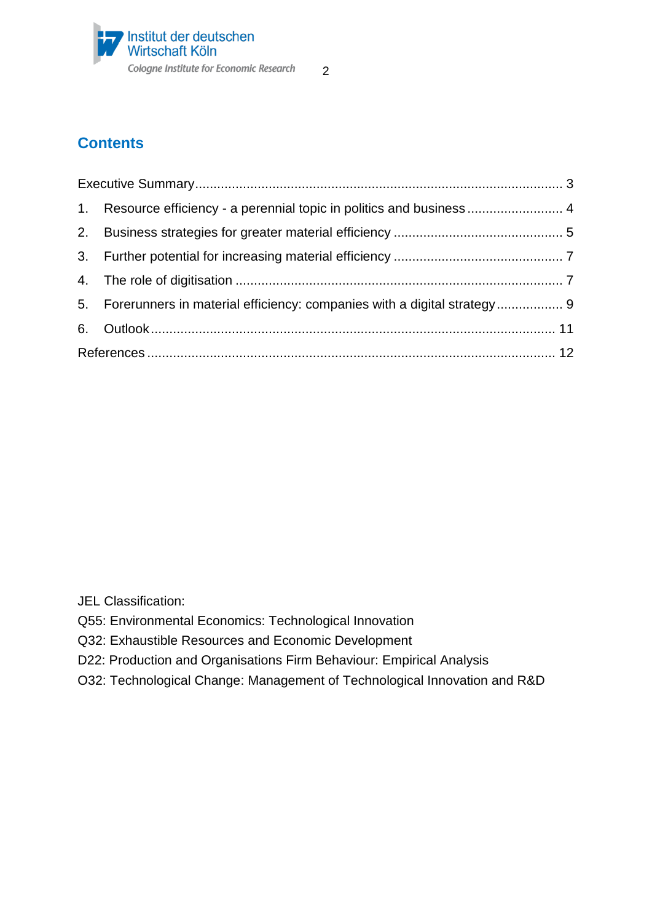

# **Contents**

| 1. Resource efficiency - a perennial topic in politics and business  4     |  |
|----------------------------------------------------------------------------|--|
|                                                                            |  |
|                                                                            |  |
|                                                                            |  |
| 5. Forerunners in material efficiency: companies with a digital strategy 9 |  |
|                                                                            |  |
|                                                                            |  |

JEL Classification:

- Q55: Environmental Economics: Technological Innovation
- Q32: Exhaustible Resources and Economic Development
- D22: Production and Organisations Firm Behaviour: Empirical Analysis
- O32: Technological Change: Management of Technological Innovation and R&D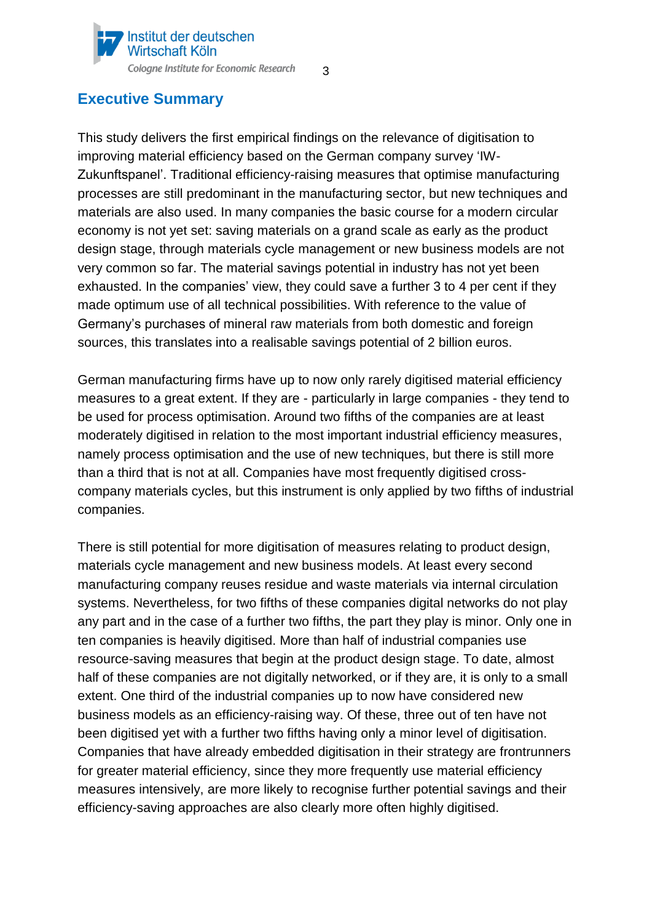#### Institut der deutschen Wirtschaft Köln Cologne Institute for Economic Research

### <span id="page-2-0"></span>**Executive Summary**

This study delivers the first empirical findings on the relevance of digitisation to improving material efficiency based on the German company survey 'IW-Zukunftspanel'. Traditional efficiency-raising measures that optimise manufacturing processes are still predominant in the manufacturing sector, but new techniques and materials are also used. In many companies the basic course for a modern circular economy is not yet set: saving materials on a grand scale as early as the product design stage, through materials cycle management or new business models are not very common so far. The material savings potential in industry has not yet been exhausted. In the companies' view, they could save a further 3 to 4 per cent if they made optimum use of all technical possibilities. With reference to the value of Germany's purchases of mineral raw materials from both domestic and foreign sources, this translates into a realisable savings potential of 2 billion euros.

3

German manufacturing firms have up to now only rarely digitised material efficiency measures to a great extent. If they are - particularly in large companies - they tend to be used for process optimisation. Around two fifths of the companies are at least moderately digitised in relation to the most important industrial efficiency measures, namely process optimisation and the use of new techniques, but there is still more than a third that is not at all. Companies have most frequently digitised crosscompany materials cycles, but this instrument is only applied by two fifths of industrial companies.

There is still potential for more digitisation of measures relating to product design, materials cycle management and new business models. At least every second manufacturing company reuses residue and waste materials via internal circulation systems. Nevertheless, for two fifths of these companies digital networks do not play any part and in the case of a further two fifths, the part they play is minor. Only one in ten companies is heavily digitised. More than half of industrial companies use resource-saving measures that begin at the product design stage. To date, almost half of these companies are not digitally networked, or if they are, it is only to a small extent. One third of the industrial companies up to now have considered new business models as an efficiency-raising way. Of these, three out of ten have not been digitised yet with a further two fifths having only a minor level of digitisation. Companies that have already embedded digitisation in their strategy are frontrunners for greater material efficiency, since they more frequently use material efficiency measures intensively, are more likely to recognise further potential savings and their efficiency-saving approaches are also clearly more often highly digitised.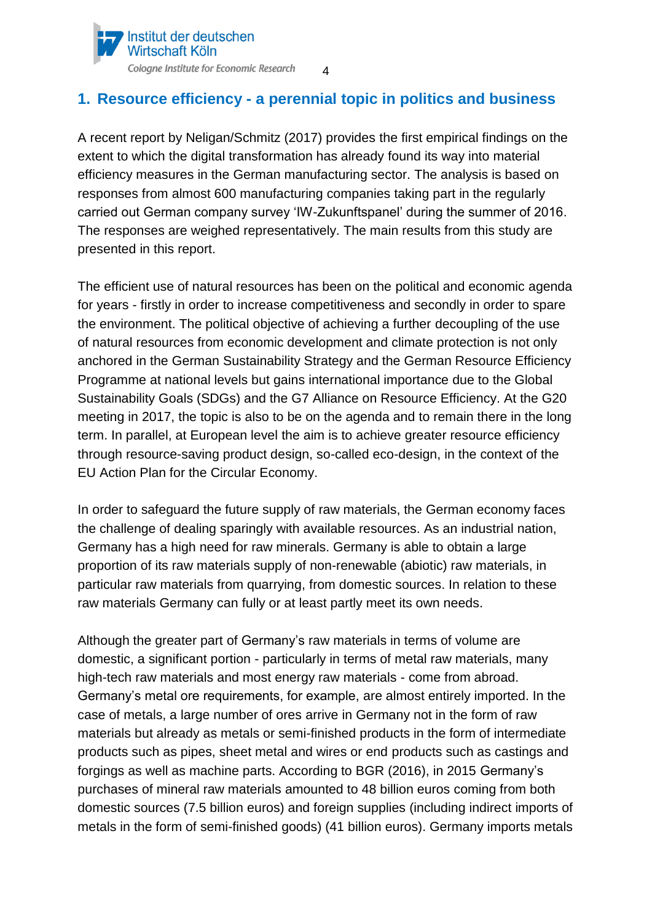

### <span id="page-3-0"></span>**1. Resource efficiency - a perennial topic in politics and business**

A recent report by Neligan/Schmitz (2017) provides the first empirical findings on the extent to which the digital transformation has already found its way into material efficiency measures in the German manufacturing sector. The analysis is based on responses from almost 600 manufacturing companies taking part in the regularly carried out German company survey 'IW-Zukunftspanel' during the summer of 2016. The responses are weighed representatively. The main results from this study are presented in this report.

The efficient use of natural resources has been on the political and economic agenda for years - firstly in order to increase competitiveness and secondly in order to spare the environment. The political objective of achieving a further decoupling of the use of natural resources from economic development and climate protection is not only anchored in the German Sustainability Strategy and the German Resource Efficiency Programme at national levels but gains international importance due to the Global Sustainability Goals (SDGs) and the G7 Alliance on Resource Efficiency. At the G20 meeting in 2017, the topic is also to be on the agenda and to remain there in the long term. In parallel, at European level the aim is to achieve greater resource efficiency through resource-saving product design, so-called eco-design, in the context of the EU Action Plan for the Circular Economy.

In order to safeguard the future supply of raw materials, the German economy faces the challenge of dealing sparingly with available resources. As an industrial nation, Germany has a high need for raw minerals. Germany is able to obtain a large proportion of its raw materials supply of non-renewable (abiotic) raw materials, in particular raw materials from quarrying, from domestic sources. In relation to these raw materials Germany can fully or at least partly meet its own needs.

Although the greater part of Germany's raw materials in terms of volume are domestic, a significant portion - particularly in terms of metal raw materials, many high-tech raw materials and most energy raw materials - come from abroad. Germany's metal ore requirements, for example, are almost entirely imported. In the case of metals, a large number of ores arrive in Germany not in the form of raw materials but already as metals or semi-finished products in the form of intermediate products such as pipes, sheet metal and wires or end products such as castings and forgings as well as machine parts. According to BGR (2016), in 2015 Germany's purchases of mineral raw materials amounted to 48 billion euros coming from both domestic sources (7.5 billion euros) and foreign supplies (including indirect imports of metals in the form of semi-finished goods) (41 billion euros). Germany imports metals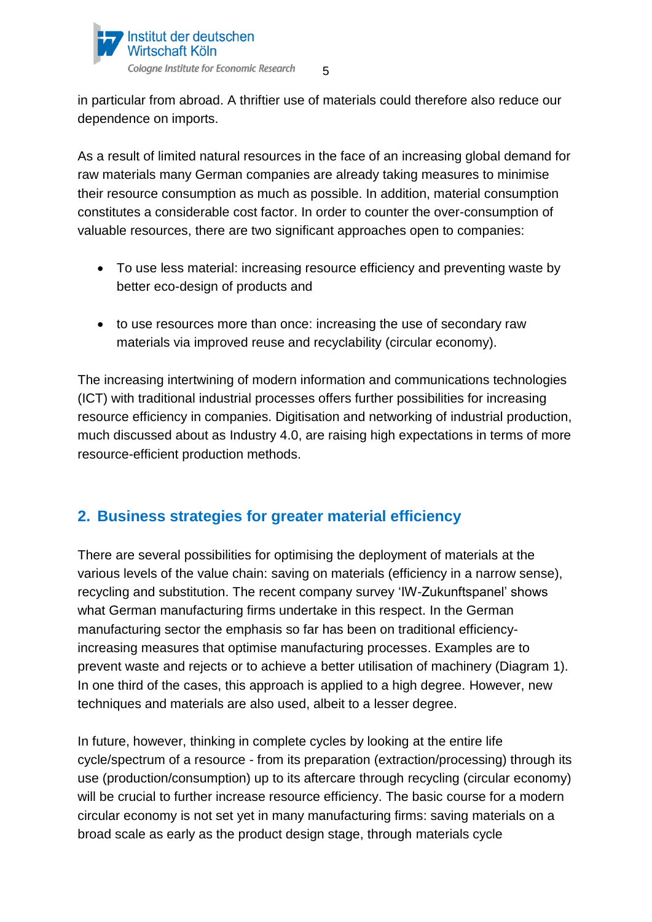

in particular from abroad. A thriftier use of materials could therefore also reduce our dependence on imports.

As a result of limited natural resources in the face of an increasing global demand for raw materials many German companies are already taking measures to minimise their resource consumption as much as possible. In addition, material consumption constitutes a considerable cost factor. In order to counter the over-consumption of valuable resources, there are two significant approaches open to companies:

- To use less material: increasing resource efficiency and preventing waste by better eco-design of products and
- to use resources more than once: increasing the use of secondary raw materials via improved reuse and recyclability (circular economy).

The increasing intertwining of modern information and communications technologies (ICT) with traditional industrial processes offers further possibilities for increasing resource efficiency in companies. Digitisation and networking of industrial production, much discussed about as Industry 4.0, are raising high expectations in terms of more resource-efficient production methods.

# <span id="page-4-0"></span>**2. Business strategies for greater material efficiency**

There are several possibilities for optimising the deployment of materials at the various levels of the value chain: saving on materials (efficiency in a narrow sense), recycling and substitution. The recent company survey 'IW-Zukunftspanel' shows what German manufacturing firms undertake in this respect. In the German manufacturing sector the emphasis so far has been on traditional efficiencyincreasing measures that optimise manufacturing processes. Examples are to prevent waste and rejects or to achieve a better utilisation of machinery (Diagram 1). In one third of the cases, this approach is applied to a high degree. However, new techniques and materials are also used, albeit to a lesser degree.

In future, however, thinking in complete cycles by looking at the entire life cycle/spectrum of a resource - from its preparation (extraction/processing) through its use (production/consumption) up to its aftercare through recycling (circular economy) will be crucial to further increase resource efficiency. The basic course for a modern circular economy is not set yet in many manufacturing firms: saving materials on a broad scale as early as the product design stage, through materials cycle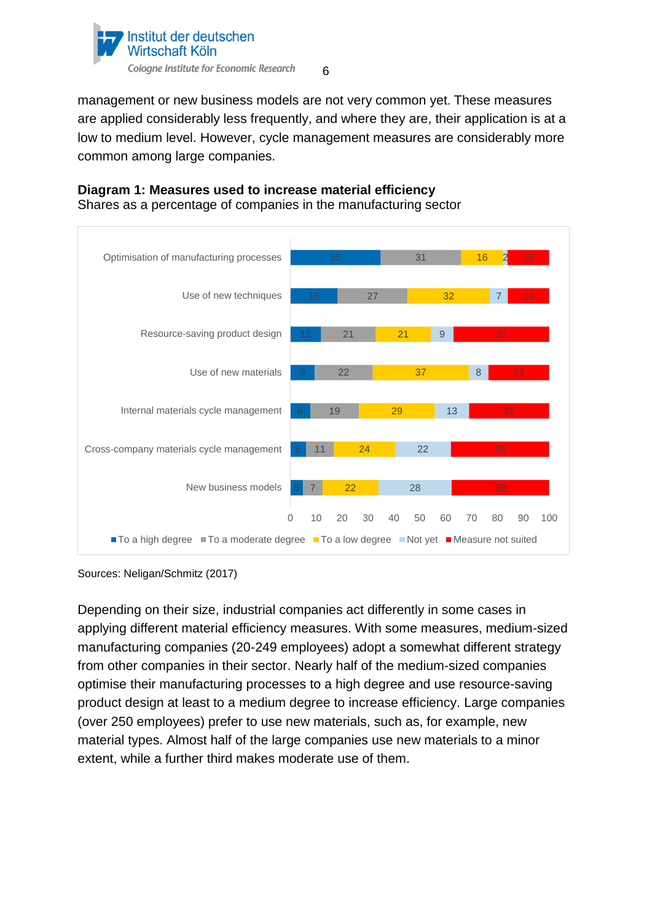

6

management or new business models are not very common yet. These measures are applied considerably less frequently, and where they are, their application is at a low to medium level. However, cycle management measures are considerably more common among large companies.



**Diagram 1: Measures used to increase material efficiency**

Shares as a percentage of companies in the manufacturing sector

Sources: Neligan/Schmitz (2017)

Depending on their size, industrial companies act differently in some cases in applying different material efficiency measures. With some measures, medium-sized manufacturing companies (20-249 employees) adopt a somewhat different strategy from other companies in their sector. Nearly half of the medium-sized companies optimise their manufacturing processes to a high degree and use resource-saving product design at least to a medium degree to increase efficiency. Large companies (over 250 employees) prefer to use new materials, such as, for example, new material types. Almost half of the large companies use new materials to a minor extent, while a further third makes moderate use of them.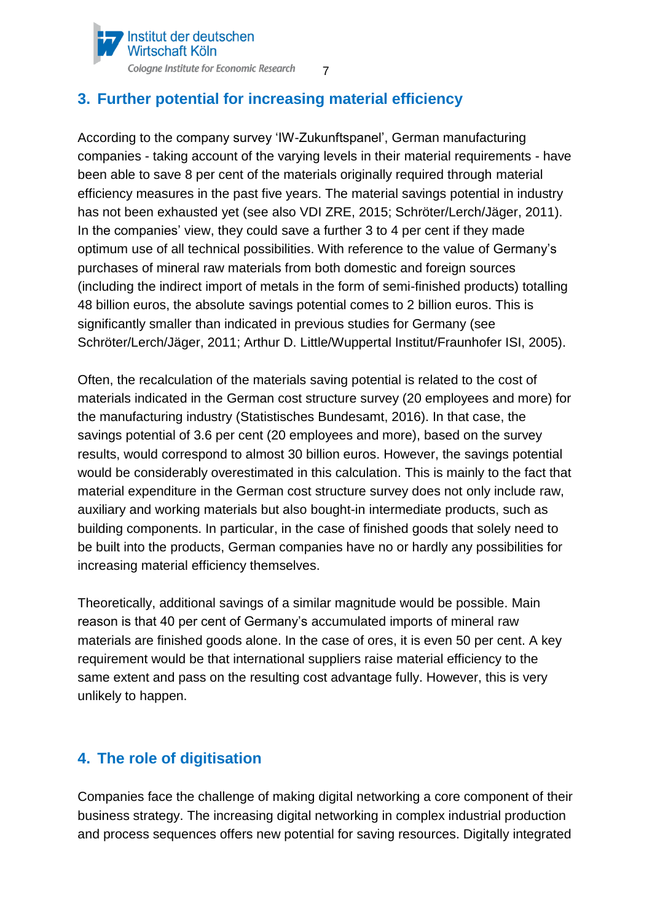

# <span id="page-6-0"></span>**3. Further potential for increasing material efficiency**

According to the company survey 'IW-Zukunftspanel', German manufacturing companies - taking account of the varying levels in their material requirements - have been able to save 8 per cent of the materials originally required through material efficiency measures in the past five years. The material savings potential in industry has not been exhausted yet (see also VDI ZRE, 2015; Schröter/Lerch/Jäger, 2011). In the companies' view, they could save a further 3 to 4 per cent if they made optimum use of all technical possibilities. With reference to the value of Germany's purchases of mineral raw materials from both domestic and foreign sources (including the indirect import of metals in the form of semi-finished products) totalling 48 billion euros, the absolute savings potential comes to 2 billion euros. This is significantly smaller than indicated in previous studies for Germany (see Schröter/Lerch/Jäger, 2011; Arthur D. Little/Wuppertal Institut/Fraunhofer ISI, 2005).

Often, the recalculation of the materials saving potential is related to the cost of materials indicated in the German cost structure survey (20 employees and more) for the manufacturing industry (Statistisches Bundesamt, 2016). In that case, the savings potential of 3.6 per cent (20 employees and more), based on the survey results, would correspond to almost 30 billion euros. However, the savings potential would be considerably overestimated in this calculation. This is mainly to the fact that material expenditure in the German cost structure survey does not only include raw, auxiliary and working materials but also bought-in intermediate products, such as building components. In particular, in the case of finished goods that solely need to be built into the products, German companies have no or hardly any possibilities for increasing material efficiency themselves.

Theoretically, additional savings of a similar magnitude would be possible. Main reason is that 40 per cent of Germany's accumulated imports of mineral raw materials are finished goods alone. In the case of ores, it is even 50 per cent. A key requirement would be that international suppliers raise material efficiency to the same extent and pass on the resulting cost advantage fully. However, this is very unlikely to happen.

# <span id="page-6-1"></span>**4. The role of digitisation**

Companies face the challenge of making digital networking a core component of their business strategy. The increasing digital networking in complex industrial production and process sequences offers new potential for saving resources. Digitally integrated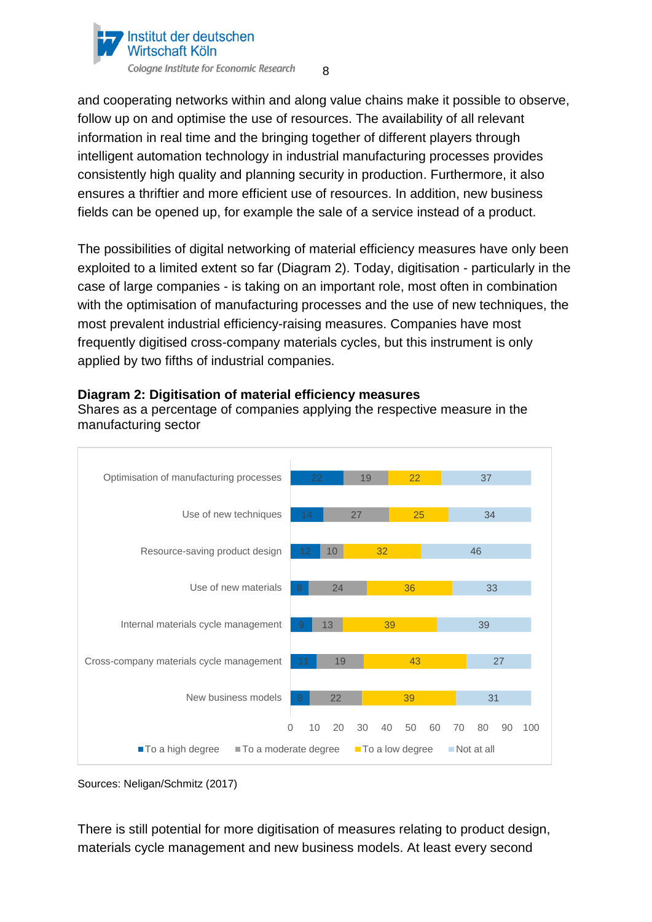

8

and cooperating networks within and along value chains make it possible to observe, follow up on and optimise the use of resources. The availability of all relevant information in real time and the bringing together of different players through intelligent automation technology in industrial manufacturing processes provides consistently high quality and planning security in production. Furthermore, it also ensures a thriftier and more efficient use of resources. In addition, new business fields can be opened up, for example the sale of a service instead of a product.

The possibilities of digital networking of material efficiency measures have only been exploited to a limited extent so far (Diagram 2). Today, digitisation - particularly in the case of large companies - is taking on an important role, most often in combination with the optimisation of manufacturing processes and the use of new techniques, the most prevalent industrial efficiency-raising measures. Companies have most frequently digitised cross-company materials cycles, but this instrument is only applied by two fifths of industrial companies.



**Diagram 2: Digitisation of material efficiency measures**

Shares as a percentage of companies applying the respective measure in the manufacturing sector

There is still potential for more digitisation of measures relating to product design, materials cycle management and new business models. At least every second

Sources: Neligan/Schmitz (2017)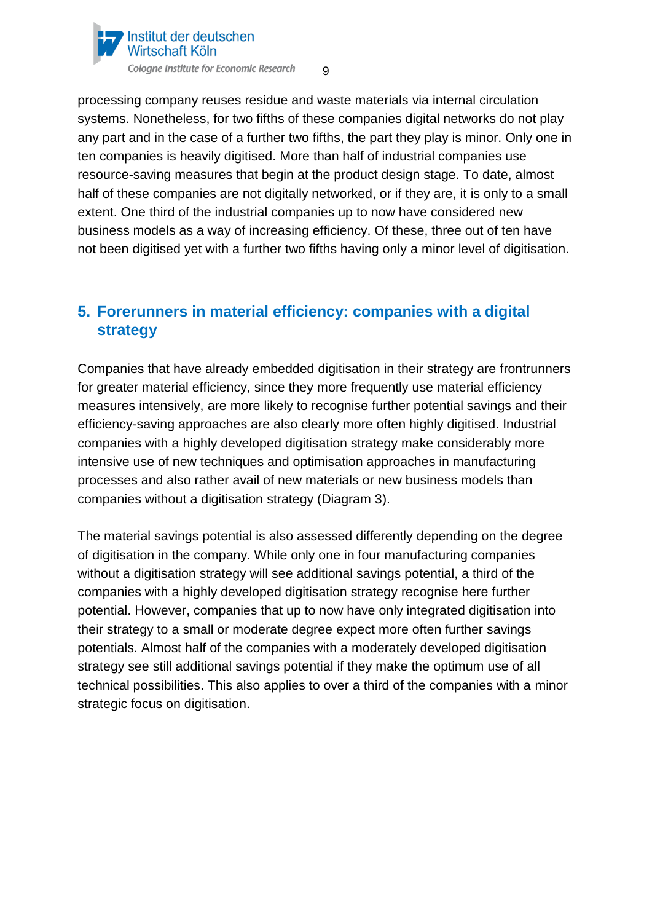

9

processing company reuses residue and waste materials via internal circulation systems. Nonetheless, for two fifths of these companies digital networks do not play any part and in the case of a further two fifths, the part they play is minor. Only one in ten companies is heavily digitised. More than half of industrial companies use resource-saving measures that begin at the product design stage. To date, almost half of these companies are not digitally networked, or if they are, it is only to a small extent. One third of the industrial companies up to now have considered new business models as a way of increasing efficiency. Of these, three out of ten have not been digitised yet with a further two fifths having only a minor level of digitisation.

# <span id="page-8-0"></span>**5. Forerunners in material efficiency: companies with a digital strategy**

Companies that have already embedded digitisation in their strategy are frontrunners for greater material efficiency, since they more frequently use material efficiency measures intensively, are more likely to recognise further potential savings and their efficiency-saving approaches are also clearly more often highly digitised. Industrial companies with a highly developed digitisation strategy make considerably more intensive use of new techniques and optimisation approaches in manufacturing processes and also rather avail of new materials or new business models than companies without a digitisation strategy (Diagram 3).

The material savings potential is also assessed differently depending on the degree of digitisation in the company. While only one in four manufacturing companies without a digitisation strategy will see additional savings potential, a third of the companies with a highly developed digitisation strategy recognise here further potential. However, companies that up to now have only integrated digitisation into their strategy to a small or moderate degree expect more often further savings potentials. Almost half of the companies with a moderately developed digitisation strategy see still additional savings potential if they make the optimum use of all technical possibilities. This also applies to over a third of the companies with a minor strategic focus on digitisation.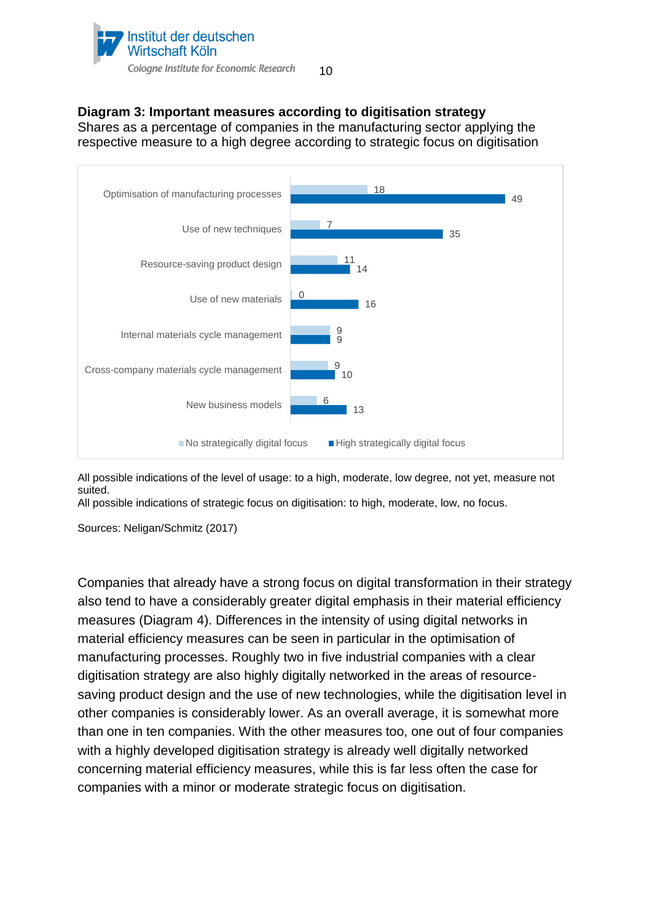

#### **Diagram 3: Important measures according to digitisation strategy**

Shares as a percentage of companies in the manufacturing sector applying the respective measure to a high degree according to strategic focus on digitisation



All possible indications of the level of usage: to a high, moderate, low degree, not yet, measure not suited.

All possible indications of strategic focus on digitisation: to high, moderate, low, no focus.

Sources: Neligan/Schmitz (2017)

Companies that already have a strong focus on digital transformation in their strategy also tend to have a considerably greater digital emphasis in their material efficiency measures (Diagram 4). Differences in the intensity of using digital networks in material efficiency measures can be seen in particular in the optimisation of manufacturing processes. Roughly two in five industrial companies with a clear digitisation strategy are also highly digitally networked in the areas of resourcesaving product design and the use of new technologies, while the digitisation level in other companies is considerably lower. As an overall average, it is somewhat more than one in ten companies. With the other measures too, one out of four companies with a highly developed digitisation strategy is already well digitally networked concerning material efficiency measures, while this is far less often the case for companies with a minor or moderate strategic focus on digitisation.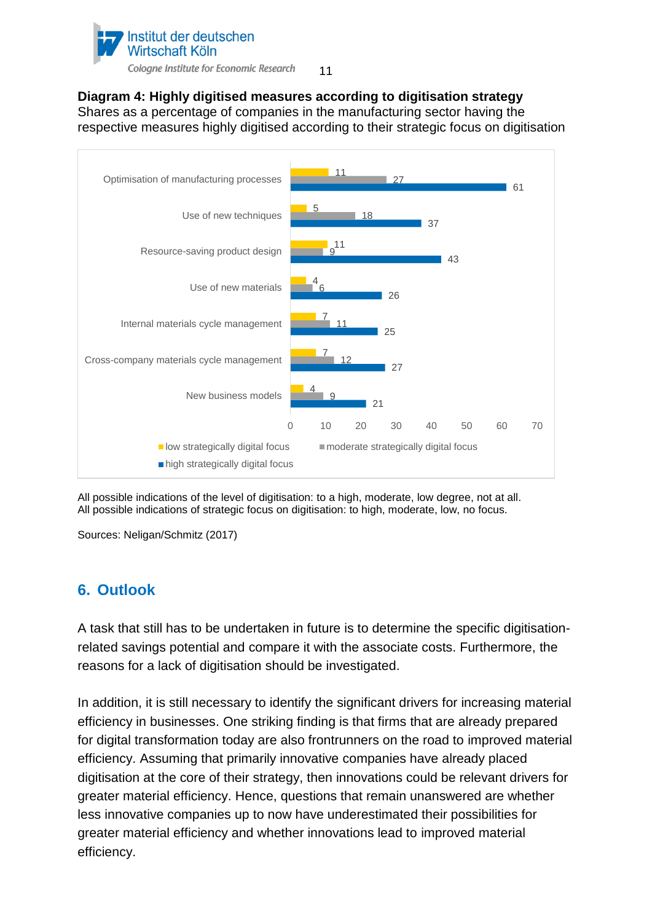

**Diagram 4: Highly digitised measures according to digitisation strategy** Shares as a percentage of companies in the manufacturing sector having the respective measures highly digitised according to their strategic focus on digitisation



All possible indications of the level of digitisation: to a high, moderate, low degree, not at all. All possible indications of strategic focus on digitisation: to high, moderate, low, no focus.

<span id="page-10-0"></span>Sources: Neligan/Schmitz (2017)

#### **6. Outlook**

A task that still has to be undertaken in future is to determine the specific digitisationrelated savings potential and compare it with the associate costs. Furthermore, the reasons for a lack of digitisation should be investigated.

In addition, it is still necessary to identify the significant drivers for increasing material efficiency in businesses. One striking finding is that firms that are already prepared for digital transformation today are also frontrunners on the road to improved material efficiency. Assuming that primarily innovative companies have already placed digitisation at the core of their strategy, then innovations could be relevant drivers for greater material efficiency. Hence, questions that remain unanswered are whether less innovative companies up to now have underestimated their possibilities for greater material efficiency and whether innovations lead to improved material efficiency.